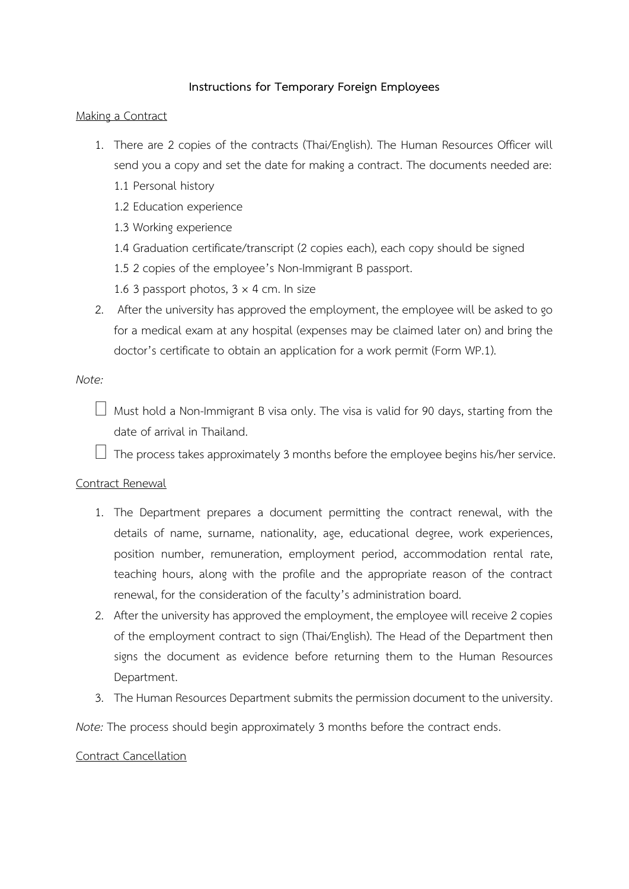# **Instructions for Temporary Foreign Employees**

### Making a Contract

- 1. There are 2 copies of the contracts (Thai/English). The Human Resources Officer will send you a copy and set the date for making a contract. The documents needed are:
	- 1.1 Personal history
	- 1.2 Education experience
	- 1.3 Working experience
	- 1.4 Graduation certificate/transcript (2 copies each), each copy should be signed
	- 1.5 2 copies of the employee's Non-Immigrant B passport.
	- 1.6 3 passport photos,  $3 \times 4$  cm. In size
- 2. After the university has approved the employment, the employee will be asked to go for a medical exam at any hospital (expenses may be claimed later on) and bring the doctor's certificate to obtain an application for a work permit (Form WP.1).

#### *Note:*

 $\Box$  Must hold a Non-Immigrant B visa only. The visa is valid for 90 days, starting from the date of arrival in Thailand.

 $\Box$  The process takes approximately 3 months before the employee begins his/her service.

### Contract Renewal

- 1. The Department prepares a document permitting the contract renewal, with the details of name, surname, nationality, age, educational degree, work experiences, position number, remuneration, employment period, accommodation rental rate, teaching hours, along with the profile and the appropriate reason of the contract renewal, for the consideration of the faculty's administration board.
- 2. After the university has approved the employment, the employee will receive 2 copies of the employment contract to sign (Thai/English). The Head of the Department then signs the document as evidence before returning them to the Human Resources Department.
- 3. The Human Resources Department submits the permission document to the university.

*Note:* The process should begin approximately 3 months before the contract ends.

### Contract Cancellation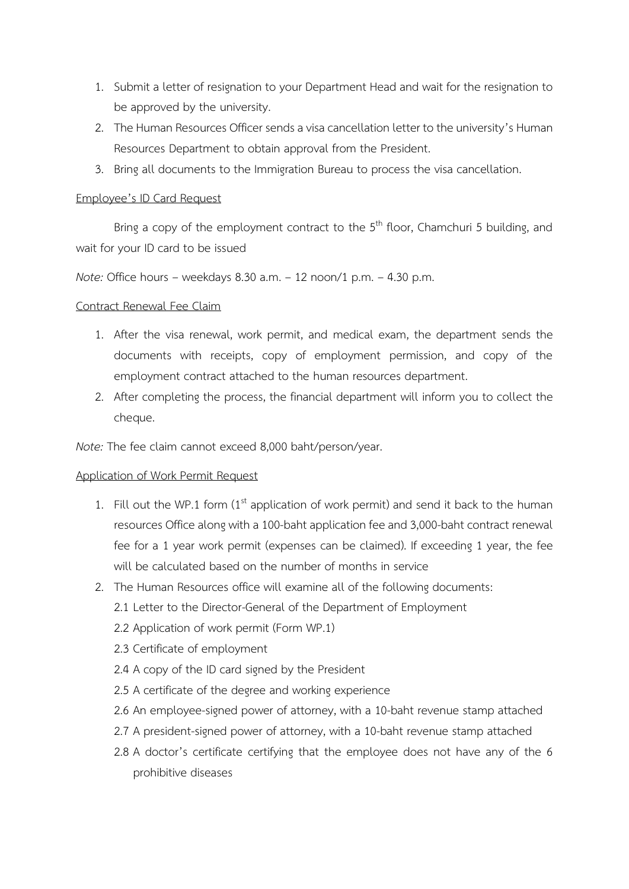- 1. Submit a letter of resignation to your Department Head and wait for the resignation to be approved by the university.
- 2. The Human Resources Officer sends a visa cancellation letter to the university's Human Resources Department to obtain approval from the President.
- 3. Bring all documents to the Immigration Bureau to process the visa cancellation.

### Employee's ID Card Request

Bring a copy of the employment contract to the 5<sup>th</sup> floor, Chamchuri 5 building, and wait for your ID card to be issued

*Note:* Office hours – weekdays 8.30 a.m. – 12 noon/1 p.m. – 4.30 p.m.

### Contract Renewal Fee Claim

- 1. After the visa renewal, work permit, and medical exam, the department sends the documents with receipts, copy of employment permission, and copy of the employment contract attached to the human resources department.
- 2. After completing the process, the financial department will inform you to collect the cheque.

*Note:* The fee claim cannot exceed 8,000 baht/person/year.

### Application of Work Permit Request

- 1. Fill out the WP.1 form  $(1<sup>st</sup>$  application of work permit) and send it back to the human resources Office along with a 100-baht application fee and 3,000-baht contract renewal fee for a 1 year work permit (expenses can be claimed). If exceeding 1 year, the fee will be calculated based on the number of months in service
- 2. The Human Resources office will examine all of the following documents:
	- 2.1 Letter to the Director-General of the Department of Employment
	- 2.2 Application of work permit (Form WP.1)
	- 2.3 Certificate of employment
	- 2.4 A copy of the ID card signed by the President
	- 2.5 A certificate of the degree and working experience
	- 2.6 An employee-signed power of attorney, with a 10-baht revenue stamp attached
	- 2.7 A president-signed power of attorney, with a 10-baht revenue stamp attached
	- 2.8 A doctor's certificate certifying that the employee does not have any of the 6 prohibitive diseases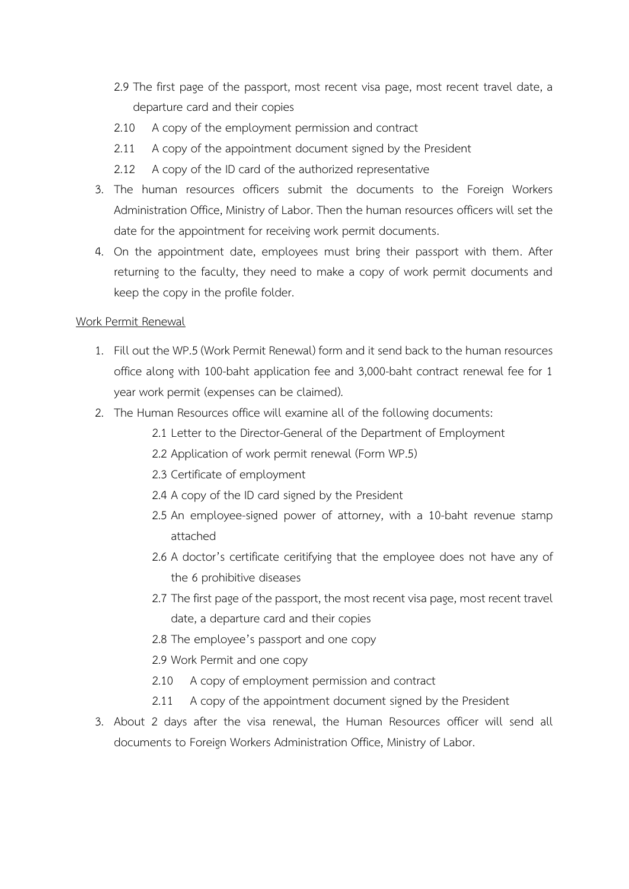- 2.9 The first page of the passport, most recent visa page, most recent travel date, a departure card and their copies
- 2.10 A copy of the employment permission and contract
- 2.11 A copy of the appointment document signed by the President
- 2.12 A copy of the ID card of the authorized representative
- 3. The human resources officers submit the documents to the Foreign Workers Administration Office, Ministry of Labor. Then the human resources officers will set the date for the appointment for receiving work permit documents.
- 4. On the appointment date, employees must bring their passport with them. After returning to the faculty, they need to make a copy of work permit documents and keep the copy in the profile folder.

### Work Permit Renewal

- 1. Fill out the WP.5(Work Permit Renewal) form and it send back to the human resources office along with 100-baht application fee and 3,000-baht contract renewal fee for 1 year work permit (expenses can be claimed).
- 2. The Human Resources office will examine all of the following documents:
	- 2.1 Letter to the Director-General of the Department of Employment
	- 2.2 Application of work permit renewal (Form WP.5)
	- 2.3 Certificate of employment
	- 2.4 A copy of the ID card signed by the President
	- 2.5 An employee-signed power of attorney, with a 10-baht revenue stamp attached
	- 2.6 A doctor's certificate ceritifying that the employee does not have any of the 6 prohibitive diseases
	- 2.7 The first page of the passport, the most recent visa page, most recent travel date, a departure card and their copies
	- 2.8 The employee's passport and one copy
	- 2.9 Work Permit and one copy
	- 2.10 A copy of employment permission and contract
	- 2.11 A copy of the appointment document signed by the President
- 3. About 2 days after the visa renewal, the Human Resources officer will send all documents to Foreign Workers Administration Office, Ministry of Labor.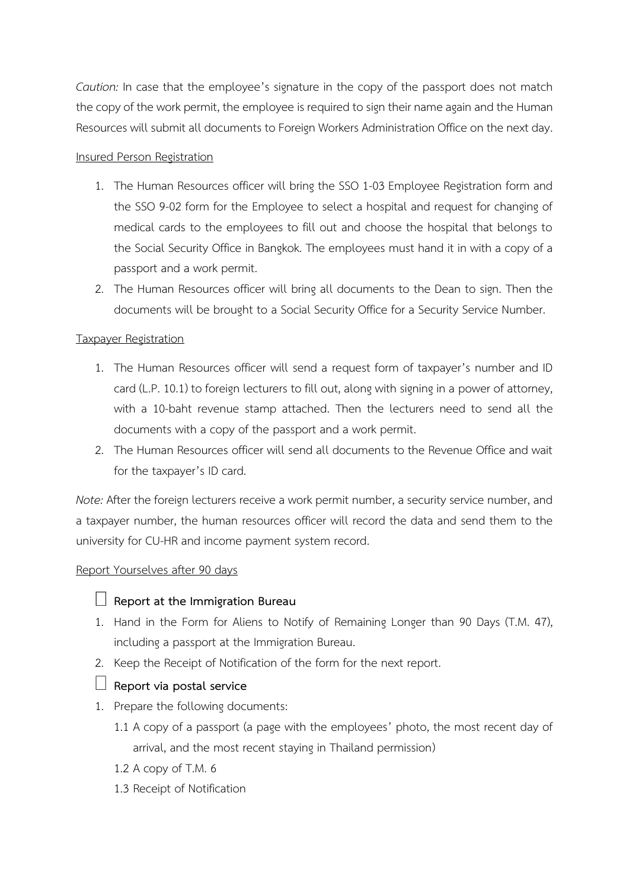*Caution:* In case that the employee's signature in the copy of the passport does not match the copy of the work permit, the employee is required to sign their name again and the Human Resources will submit all documents to Foreign Workers Administration Office on the next day.

# Insured Person Registration

- 1. The Human Resources officer will bring the SSO 1-03 Employee Registration form and the SSO 9-02 form for the Employee to select a hospital and request for changing of medical cards to the employees to fill out and choose the hospital that belongs to the Social Security Office in Bangkok. The employees must hand it in with a copy of a passport and a work permit.
- 2. The Human Resources officer will bring all documents to the Dean to sign. Then the documents will be brought to a Social Security Office for a Security Service Number.

# Taxpayer Registration

- 1. The Human Resources officer will send a request form of taxpayer's number and ID card (L.P. 10.1) to foreign lecturers to fill out, along with signing in a power of attorney, with a 10-baht revenue stamp attached. Then the lecturers need to send all the documents with a copy of the passport and a work permit.
- 2. The Human Resources officer will send all documents to the Revenue Office and wait for the taxpayer's ID card.

*Note:* After the foreign lecturers receive a work permit number, a security service number, and a taxpayer number, the human resources officer will record the data and send them to the university for CU-HR and income payment system record.

# Report Yourselves after 90 days

# **Report at the Immigration Bureau**

- 1. Hand in the Form for Aliens to Notify of Remaining Longer than 90 Days (T.M. 47), including a passport at the Immigration Bureau.
- 2. Keep the Receipt of Notification of the form for the next report.

# **Report via postal service**

- 1. Prepare the following documents:
	- 1.1 A copy of a passport (a page with the employees' photo, the most recent day of arrival, and the most recent staying in Thailand permission)
	- 1.2 A copy of T.M. 6
	- 1.3 Receipt of Notification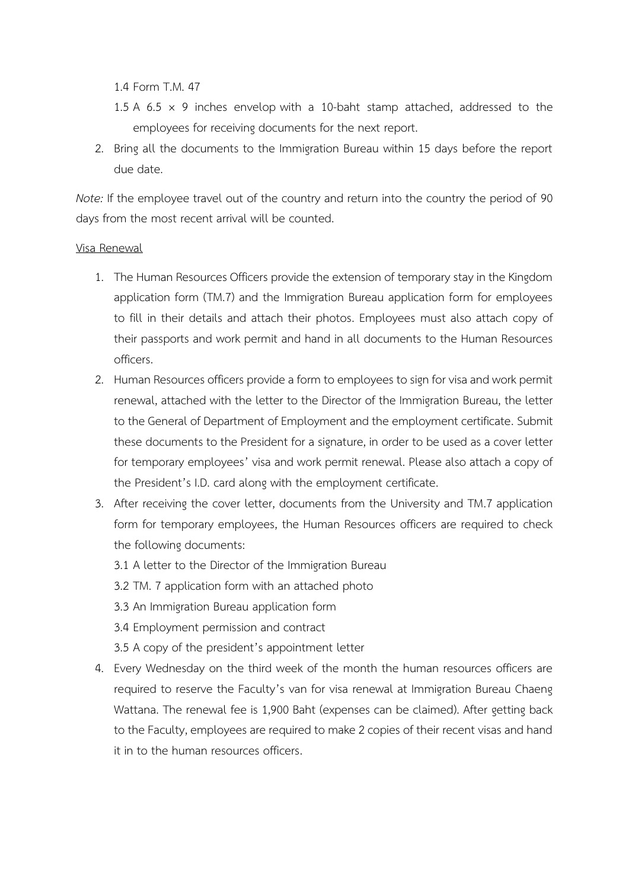1.4 Form T.M. 47

- 1.5 A 6.5  $\times$  9 inches envelop with a 10-baht stamp attached, addressed to the employees for receiving documents for the next report.
- 2. Bring all the documents to the Immigration Bureau within 15 days before the report due date.

*Note:* If the employee travel out of the country and return into the country the period of 90 days from the most recent arrival will be counted.

### Visa Renewal

- 1. The Human Resources Officers provide the extension of temporary stay in the Kingdom application form (TM.7) and the Immigration Bureau application form for employees to fill in their details and attach their photos. Employees must also attach copy of their passports and work permit and hand in all documents to the Human Resources officers.
- 2. Human Resources officers provide a form to employees to sign for visa and work permit renewal, attached with the letter to the Director of the Immigration Bureau, the letter to the General of Department of Employment and the employment certificate. Submit these documents to the President for a signature, in order to be used as a cover letter for temporary employees' visa and work permit renewal. Please also attach a copy of the President's I.D. card along with the employment certificate.
- 3. After receiving the cover letter, documents from the University and TM.7 application form for temporary employees, the Human Resources officers are required to check the following documents:
	- 3.1 A letter to the Director of the Immigration Bureau
	- 3.2 TM. 7 application form with an attached photo
	- 3.3 An Immigration Bureau application form
	- 3.4 Employment permission and contract
	- 3.5 A copy of the president's appointment letter
- 4. Every Wednesday on the third week of the month the human resources officers are required to reserve the Faculty's van for visa renewal at Immigration Bureau Chaeng Wattana. The renewal fee is 1,900 Baht (expenses can be claimed). After getting back to the Faculty, employees are required to make 2 copies of their recent visas and hand it in to the human resources officers.